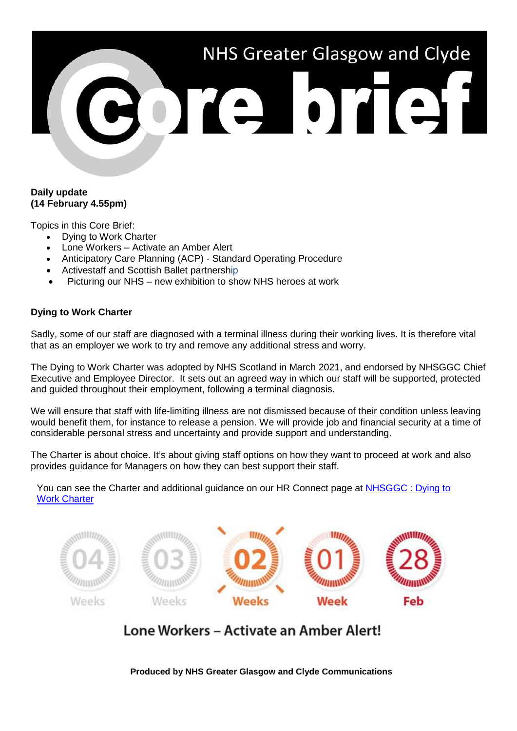# NHS Greater Glasgow and Clyde POTE DTET

#### **Daily update (14 February 4.55pm)**

Topics in this Core Brief:

- Dying to Work Charter
- Lone Workers Activate an Amber Alert
- Anticipatory Care Planning (ACP) Standard Operating Procedure
- Activestaff and Scottish Ballet partnership
- Picturing our NHS new exhibition to show NHS heroes at work

## **Dying to Work Charter**

Sadly, some of our staff are diagnosed with a terminal illness during their working lives. It is therefore vital that as an employer we work to try and remove any additional stress and worry.

The Dying to Work Charter was adopted by NHS Scotland in March 2021, and endorsed by NHSGGC Chief Executive and Employee Director. It sets out an agreed way in which our staff will be supported, protected and guided throughout their employment, following a terminal diagnosis.

We will ensure that staff with life-limiting illness are not dismissed because of their condition unless leaving would benefit them, for instance to release a pension. We will provide job and financial security at a time of considerable personal stress and uncertainty and provide support and understanding.

The Charter is about choice. It's about giving staff options on how they want to proceed at work and also provides guidance for Managers on how they can best support their staff.

You can see the Charter and additional guidance on our HR Connect page at [NHSGGC : Dying to](https://www.nhsggc.org.uk/working-with-us/hr-connect/policies-and-staff-governance/policies/dying-to-work-charter/)  [Work Charter](https://www.nhsggc.org.uk/working-with-us/hr-connect/policies-and-staff-governance/policies/dying-to-work-charter/)



# Lone Workers - Activate an Amber Alert!

**Produced by NHS Greater Glasgow and Clyde Communications**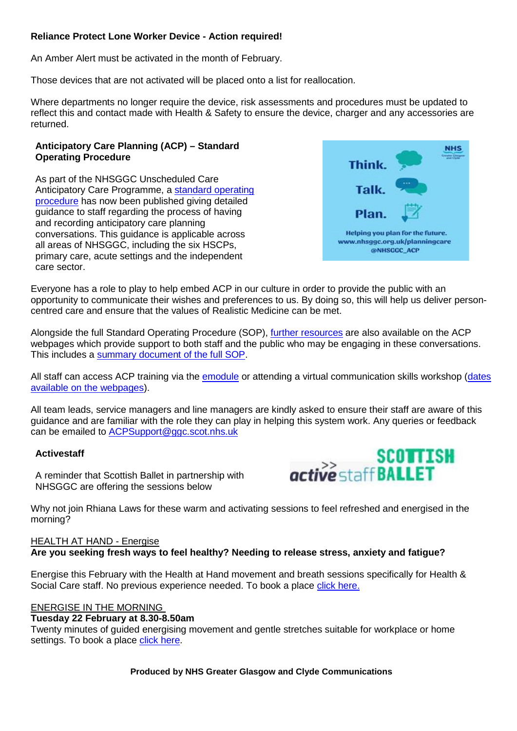## **Reliance Protect Lone Worker Device - Action required!**

An Amber Alert must be activated in the month of February.

Those devices that are not activated will be placed onto a list for reallocation.

Where departments no longer require the device, risk assessments and procedures must be updated to reflect this and contact made with Health & Safety to ensure the device, charger and any accessories are returned.

#### **Anticipatory Care Planning (ACP) – Standard Operating Procedure**

As part of the NHSGGC Unscheduled Care Anticipatory Care Programme, a [standard operating](https://www.nhsggc.org.uk/media/271146/ggc-acp-sop-v10-feb-2022.pdf)  [procedure](https://www.nhsggc.org.uk/media/271146/ggc-acp-sop-v10-feb-2022.pdf) has now been published giving detailed guidance to staff regarding the process of having and recording anticipatory care planning conversations. This guidance is applicable across all areas of NHSGGC, including the six HSCPs, primary care, acute settings and the independent care sector.



Everyone has a role to play to help embed ACP in our culture in order to provide the public with an opportunity to communicate their wishes and preferences to us. By doing so, this will help us deliver personcentred care and ensure that the values of Realistic Medicine can be met.

Alongside the full Standard Operating Procedure (SOP), [further resources](https://www.nhsggc.org.uk/your-health/health-services/planning-care/acp-documents-and-resources/) are also available on the ACP webpages which provide support to both staff and the public who may be engaging in these conversations. This includes a [summary document of the full SOP.](https://www.nhsggc.org.uk/media/271143/acp-sop-summary-v10-feb-2022.pdf)

All staff can access ACP training via the [emodule](https://www.nhsggc.org.uk/your-health/health-services/planning-care/resources-for-staff/acp-training-hub/acp-online-module/) or attending a virtual communication skills workshop (dates [available on the webpages\)](https://www.nhsggc.org.uk/your-health/health-services/planning-care/resources-for-staff/acp-training-hub/acp-communication-skills-training/).

All team leads, service managers and line managers are kindly asked to ensure their staff are aware of this guidance and are familiar with the role they can play in helping this system work. Any queries or feedback can be emailed to [ACPSupport@ggc.scot.nhs.uk](mailto:ACPSupport@ggc.scot.nhs.uk)

#### **Activestaff**

A reminder that Scottish Ballet in partnership with NHSGGC are offering the sessions below



Why not join Rhiana Laws for these warm and activating sessions to feel refreshed and energised in the morning?

#### HEALTH AT HAND - Energise **Are you seeking fresh ways to feel healthy? Needing to release stress, anxiety and fatigue?**

Energise this February with the Health at Hand movement and breath sessions specifically for Health & Social Care staff. No previous experience needed. To book a place [click here.](https://wfly.co/i9C2S)

#### ENERGISE IN THE MORNING

#### **Tuesday 22 February at 8.30-8.50am**

Twenty minutes of guided energising movement and gentle stretches suitable for workplace or home settings. To book a place [click here.](https://wfly.co/i9C2S)

**Produced by NHS Greater Glasgow and Clyde Communications**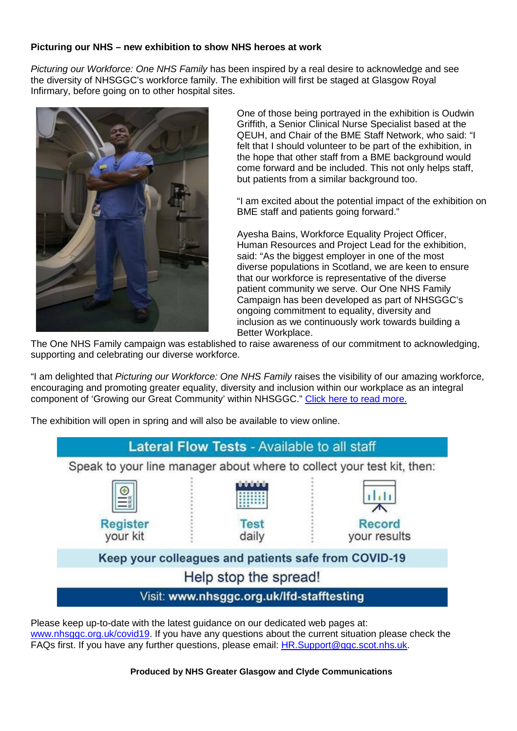## **Picturing our NHS – new exhibition to show NHS heroes at work**

*Picturing our Workforce: One NHS Family* has been inspired by a real desire to acknowledge and see the diversity of NHSGGC's workforce family. The exhibition will first be staged at Glasgow Royal Infirmary, before going on to other hospital sites.



One of those being portrayed in the exhibition is Oudwin Griffith, a Senior Clinical Nurse Specialist based at the QEUH, and Chair of the BME Staff Network, who said: "I felt that I should volunteer to be part of the exhibition, in the hope that other staff from a BME background would come forward and be included. This not only helps staff, but patients from a similar background too.

"I am excited about the potential impact of the exhibition on BME staff and patients going forward."

Ayesha Bains, Workforce Equality Project Officer, Human Resources and Project Lead for the exhibition, said: "As the biggest employer in one of the most diverse populations in Scotland, we are keen to ensure that our workforce is representative of the diverse patient community we serve. Our One NHS Family Campaign has been developed as part of NHSGGC's ongoing commitment to equality, diversity and inclusion as we continuously work towards building a Better Workplace.

The One NHS Family campaign was established to raise awareness of our commitment to acknowledging, supporting and celebrating our diverse workforce.

"I am delighted that *Picturing our Workforce: One NHS Family* raises the visibility of our amazing workforce, encouraging and promoting greater equality, diversity and inclusion within our workplace as an integral component of 'Growing our Great Community' within NHSGGC." [Click here to read more.](https://www.nhsggc.scot/picturing-our-nhs-new-exhibition-to-show-nhs-heroes-at-work/)

The exhibition will open in spring and will also be available to view online.

# **Lateral Flow Tests - Available to all staff** Speak to your line manager about where to collect your test kit, then: **Register Test** Record vour kit daily vour results Keep your colleagues and patients safe from COVID-19 Help stop the spread! Visit: www.nhsggc.org.uk/lfd-stafftesting

Please keep up-to-date with the latest guidance on our dedicated web pages at: [www.nhsggc.org.uk/covid19.](http://www.nhsggc.org.uk/covid19) If you have any questions about the current situation please check the FAQs first. If you have any further questions, please email: [HR.Support@ggc.scot.nhs.uk.](mailto:HR.Support@ggc.scot.nhs.uk)

**Produced by NHS Greater Glasgow and Clyde Communications**